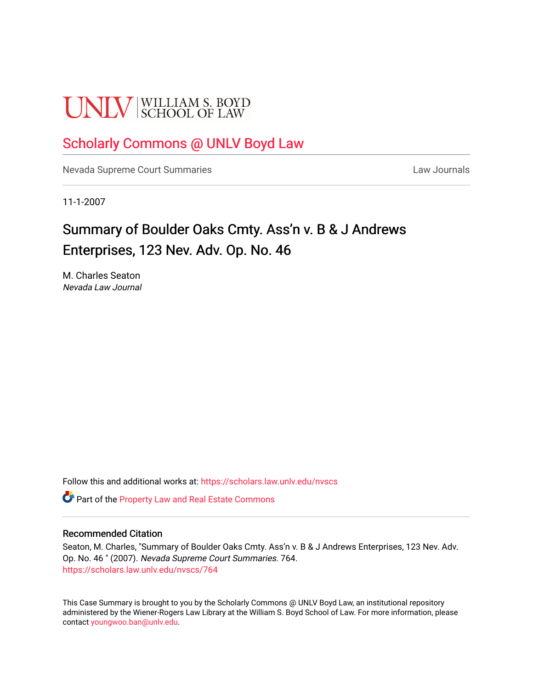# **UNLV** SCHOOL OF LAW

## [Scholarly Commons @ UNLV Boyd Law](https://scholars.law.unlv.edu/)

[Nevada Supreme Court Summaries](https://scholars.law.unlv.edu/nvscs) **Law Journals** Law Journals

11-1-2007

# Summary of Boulder Oaks Cmty. Ass'n v. B & J Andrews Enterprises, 123 Nev. Adv. Op. No. 46

M. Charles Seaton Nevada Law Journal

Follow this and additional works at: [https://scholars.law.unlv.edu/nvscs](https://scholars.law.unlv.edu/nvscs?utm_source=scholars.law.unlv.edu%2Fnvscs%2F764&utm_medium=PDF&utm_campaign=PDFCoverPages)

Part of the [Property Law and Real Estate Commons](http://network.bepress.com/hgg/discipline/897?utm_source=scholars.law.unlv.edu%2Fnvscs%2F764&utm_medium=PDF&utm_campaign=PDFCoverPages) 

#### Recommended Citation

Seaton, M. Charles, "Summary of Boulder Oaks Cmty. Ass'n v. B & J Andrews Enterprises, 123 Nev. Adv. Op. No. 46 " (2007). Nevada Supreme Court Summaries. 764. [https://scholars.law.unlv.edu/nvscs/764](https://scholars.law.unlv.edu/nvscs/764?utm_source=scholars.law.unlv.edu%2Fnvscs%2F764&utm_medium=PDF&utm_campaign=PDFCoverPages)

This Case Summary is brought to you by the Scholarly Commons @ UNLV Boyd Law, an institutional repository administered by the Wiener-Rogers Law Library at the William S. Boyd School of Law. For more information, please contact [youngwoo.ban@unlv.edu](mailto:youngwoo.ban@unlv.edu).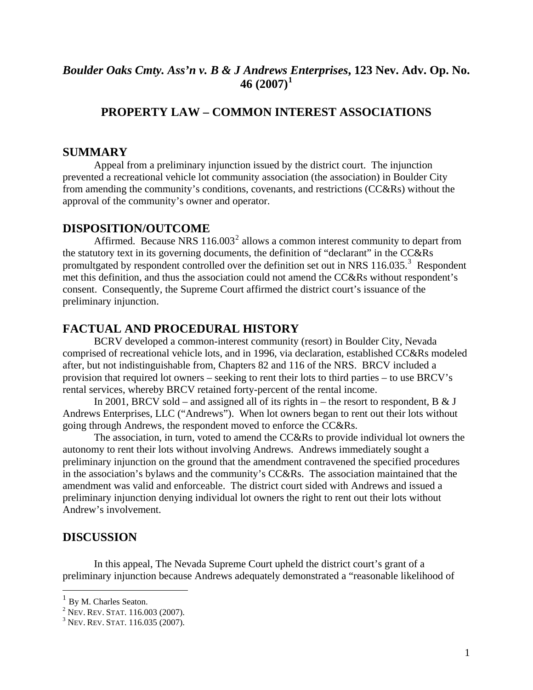### *Boulder Oaks Cmty. Ass'n v. B & J Andrews [E](#page-1-0)nterprises***, 123 Nev. Adv. Op. No. 46 (2007)[1](#page-1-0)**

## **PROPERTY LAW – COMMON INTEREST ASSOCIATIONS**

#### **SUMMARY**

Appeal from a preliminary injunction issued by the district court. The injunction prevented a recreational vehicle lot community association (the association) in Boulder City from amending the community's conditions, covenants, and restrictions (CC&Rs) without the approval of the community's owner and operator.

#### **DISPOSITION/OUTCOME**

Affirmed. Because NRS  $116.003<sup>2</sup>$  $116.003<sup>2</sup>$  $116.003<sup>2</sup>$  allows a common interest community to depart from the statutory text in its governing documents, the definition of "declarant" in the CC&Rs promultgated by respondent controlled over the definition set out in NRS 116.0[3](#page-1-2)5.<sup>3</sup> Respondent met this definition, and thus the association could not amend the CC&Rs without respondent's consent. Consequently, the Supreme Court affirmed the district court's issuance of the preliminary injunction.

#### **FACTUAL AND PROCEDURAL HISTORY**

BCRV developed a common-interest community (resort) in Boulder City, Nevada comprised of recreational vehicle lots, and in 1996, via declaration, established CC&Rs modeled after, but not indistinguishable from, Chapters 82 and 116 of the NRS. BRCV included a provision that required lot owners – seeking to rent their lots to third parties – to use BRCV's rental services, whereby BRCV retained forty-percent of the rental income.

In 2001, BRCV sold – and assigned all of its rights in – the resort to respondent, B & J Andrews Enterprises, LLC ("Andrews"). When lot owners began to rent out their lots without going through Andrews, the respondent moved to enforce the CC&Rs.

The association, in turn, voted to amend the CC&Rs to provide individual lot owners the autonomy to rent their lots without involving Andrews. Andrews immediately sought a preliminary injunction on the ground that the amendment contravened the specified procedures in the association's bylaws and the community's CC&Rs. The association maintained that the amendment was valid and enforceable. The district court sided with Andrews and issued a preliminary injunction denying individual lot owners the right to rent out their lots without Andrew's involvement.

#### **DISCUSSION**

In this appeal, The Nevada Supreme Court upheld the district court's grant of a preliminary injunction because Andrews adequately demonstrated a "reasonable likelihood of

 $\overline{a}$ 

<span id="page-1-0"></span><sup>&</sup>lt;sup>1</sup> By M. Charles Seaton.

<sup>&</sup>lt;sup>2</sup> Nev. Rev. Stat. 116.003 (2007).<br><sup>3</sup> Nev. Rev. Stat. 116.035 (2007).

<span id="page-1-2"></span><span id="page-1-1"></span> $3$  Nev. Rev. Stat. 116.035 (2007).